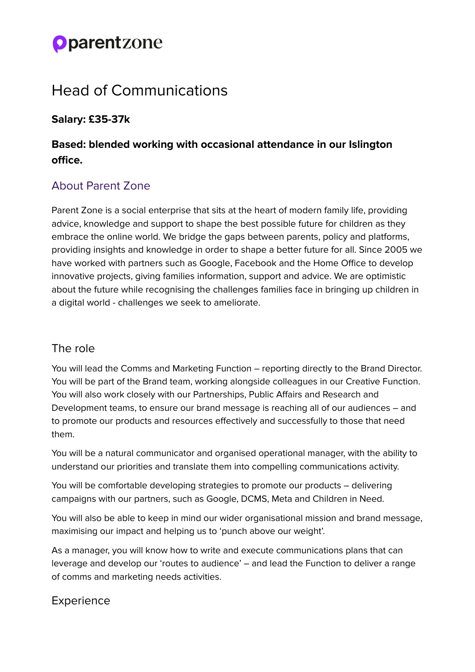# **Oparentzone**

# Head of Communications

#### **Salary: £35-37k**

# **Based: blended working with occasional attendance in our Islington office.**

# About Parent Zone

Parent Zone is a social enterprise that sits at the heart of modern family life, providing advice, knowledge and support to shape the best possible future for children as they embrace the online world. We bridge the gaps between parents, policy and platforms, providing insights and knowledge in order to shape a better future for all. Since 2005 we have worked with partners such as Google, Facebook and the Home Office to develop innovative projects, giving families information, support and advice. We are optimistic about the future while recognising the challenges families face in bringing up children in a digital world - challenges we seek to ameliorate.

### The role

You will lead the Comms and Marketing Function – reporting directly to the Brand Director. You will be part of the Brand team, working alongside colleagues in our Creative Function. You will also work closely with our Partnerships, Public Affairs and Research and Development teams, to ensure our brand message is reaching all of our audiences – and to promote our products and resources effectively and successfully to those that need them.

You will be a natural communicator and organised operational manager, with the ability to understand our priorities and translate them into compelling communications activity.

You will be comfortable developing strategies to promote our products – delivering campaigns with our partners, such as Google, DCMS, Meta and Children in Need.

You will also be able to keep in mind our wider organisational mission and brand message, maximising our impact and helping us to 'punch above our weight'.

As a manager, you will know how to write and execute communications plans that can leverage and develop our 'routes to audience' – and lead the Function to deliver a range of comms and marketing needs activities.

### Experience